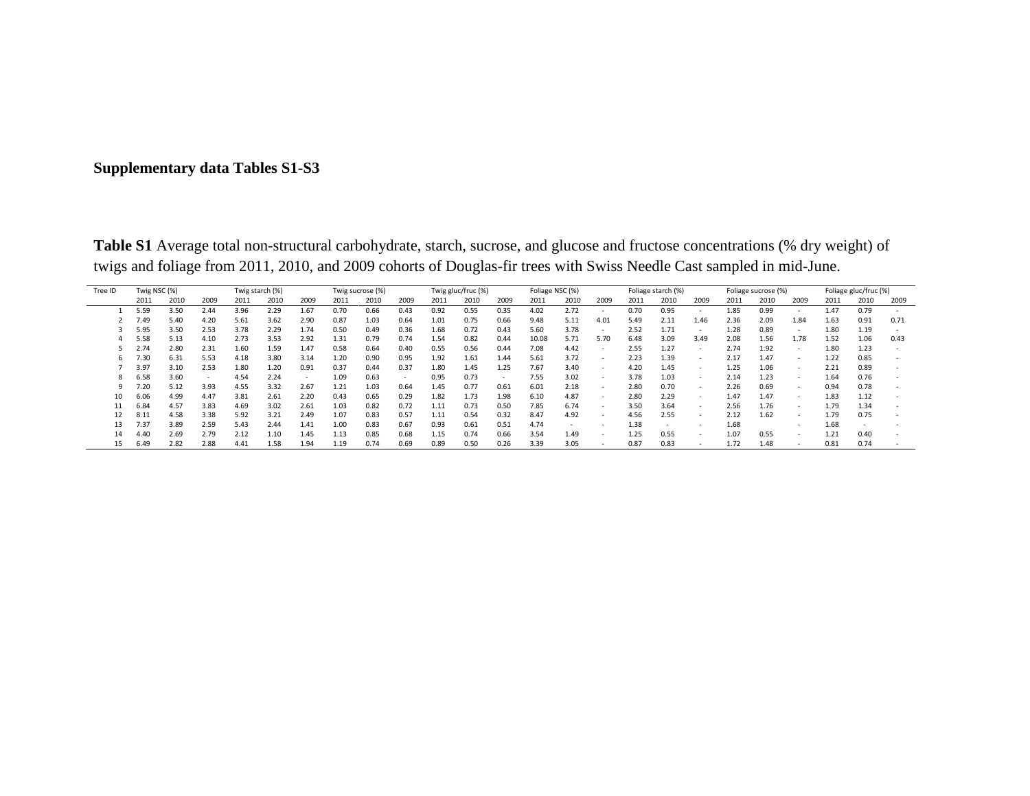## **Supplementary data Tables S1-S3**

**Table S1** Average total non-structural carbohydrate, starch, sucrose, and glucose and fructose concentrations (% dry weight) of twigs and foliage from 2011, 2010, and 2009 cohorts of Douglas-fir trees with Swiss Needle Cast sampled in mid-June.

| Tree ID | Twig NSC (%) |      |      |      | Twig starch (%) |      |      | Twig sucrose (%) |      |      | Twig gluc/fruc (%) |      |       | Foliage NSC (%) |                          |      | Foliage starch (%) |        |      | Foliage sucrose (%) |        | Foliage gluc/fruc (%) |      |      |
|---------|--------------|------|------|------|-----------------|------|------|------------------|------|------|--------------------|------|-------|-----------------|--------------------------|------|--------------------|--------|------|---------------------|--------|-----------------------|------|------|
|         | 2011         | 2010 | 2009 | 2011 | 2010            | 2009 | 2011 | 2010             | 2009 | 2011 | 2010               | 2009 | 2011  | 2010            | 2009                     | 2011 | 2010               | 2009   | 2011 | 2010                | 2009   | 2011                  | 2010 | 2009 |
|         | 5.59         | 3.50 | 2.44 | 3.96 | 2.29            | 1.67 | 0.70 | 0.66             | 0.43 | 0.92 | 0.55               | 0.35 | 4.02  | 2.72            |                          | 0.70 | 0.95               |        | 1.85 | 0.99                |        | 1.47                  | 0.79 |      |
|         | 7.49         | 5.40 | 4.20 | 5.61 | 3.62            | 2.90 | 0.87 | 1.03             | 0.64 | 1.01 | 0.75               | 0.66 | 9.48  | 5.11            | 4.01                     | 5.49 | 2.11               | 1.46   | 2.36 | 2.09                | 1.84   | 1.63                  | 0.91 | 0.71 |
|         | 5.95         | 3.50 | 2.53 | 3.78 | 2.29            | 1.74 | 0.50 | 0.49             | 0.36 | 1.68 | 0.72               | 0.43 | 5.60  | 3.78            | $\overline{\phantom{a}}$ | 2.52 | 1.71               | ٠      | 1.28 | 0.89                | $\sim$ | 1.80                  | 1.19 |      |
|         | 5.58         | 5.13 | 4.10 | 2.73 | 3.53            | 2.92 | 1.31 | 0.79             | 0.74 | 1.54 | 0.82               | 0.44 | 10.08 | 5.71            | 5.70                     | 6.48 | 3.09               | 3.49   | 2.08 | 1.56                | 1.78   | 1.52                  | 1.06 | 0.43 |
|         | 2.74         | 2.80 | 2.31 | 1.60 | 1.59            | 1.47 | 0.58 | 0.64             | 0.40 | 0.55 | 0.56               | 0.44 | 7.08  | 4.42            |                          | 2.55 | 1.27               | $\sim$ | 2.74 | 1.92                |        | 1.80                  | 1.23 |      |
|         | 7.30         | 6.31 | 5.53 | 4.18 | 3.80            | 3.14 | 1.20 | 0.90             | 0.95 | 1.92 | 1.61               | 1.44 | 5.61  | 3.72            | $\sim$                   | 2.23 | 1.39               | $\sim$ | 2.17 | 1.47                | $\sim$ | 1.22                  | 0.85 |      |
|         | 3.97         | 3.10 | 2.53 | 1.80 | 1.20            | 0.91 | 0.37 | 0.44             | 0.37 | 1.80 | 1.45               | 1.25 | 7.67  | 3.40            | $\overline{\phantom{a}}$ | 4.20 | 1.45               | ۰      | 1.25 | 1.06                | $\sim$ | 2.21                  | 0.89 |      |
|         | 6.58         | 3.60 |      | 4.54 | 2.24            | ۰    | 1.09 | 0.63             | . .  | 0.95 | 0.73               |      | 7.55  | 3.02            | $\overline{\phantom{a}}$ | 3.78 | 1.03               | $\sim$ | 2.14 | 1.23                | $\sim$ | 1.64                  | 0.76 |      |
|         | 7.20         | 5.12 | 3.93 | 4.55 | 3.32            | 2.67 | 1.21 | 1.03             | 0.64 | 1.45 | 0.77               | 0.61 | 6.01  | 2.18            |                          | 2.80 | 0.70               |        | 2.26 | 0.69                | $\sim$ | 0.94                  | 0.78 |      |
|         | 6.06         | 4.99 | 4.47 | 3.81 | 2.61            | 2.20 | 0.43 | 0.65             | 0.29 | 1.82 | 1.73               | 1.98 | 6.10  | 4.87            |                          | 2.80 | 2.29               |        | 1.47 | 1.47                |        | 1.83                  | 1.12 |      |
|         | 6.84         | 4.57 | 3.83 | 4.69 | 3.02            | 2.61 | 1.03 | 0.82             | 0.72 | 1.11 | 0.73               | 0.50 | 7.85  | 6.74            | $\overline{\phantom{a}}$ | 3.50 | 3.64               |        | 2.56 | 1.76                |        | 1.79                  | 1.34 |      |
|         | 8.11         | 4.58 | 3.38 | 5.92 | 3.21            | 2.49 | 1.07 | 0.83             | 0.57 | 1.11 | 0.54               | 0.32 | 8.47  | 4.92            | $\overline{\phantom{a}}$ | 4.56 | 2.55               | ۰      | 2.12 | 1.62                | $\sim$ | 1.79                  | 0.75 |      |
| 13      | 7.37         | 3.89 | 2.59 | 5.43 | 2.44            | 1.41 | 1.00 | 0.83             | 0.67 | 0.93 | 0.61               | 0.51 | 4.74  |                 |                          | 1.38 |                    |        | 1.68 |                     |        | 1.68                  |      |      |
| 14      | 4.40         | 2.69 | 2.79 | 2.12 | 1.10            | 1.45 | 1.13 | 0.85             | 0.68 | 1.15 | 0.74               | 0.66 | 3.54  | 1.49            | $\overline{\phantom{a}}$ | 1.25 | 0.55               | $\sim$ | 1.07 | 0.55                | $\sim$ | 1.21                  | 0.40 |      |
| 15      | 6.49         | 2.82 | 2.88 | 4.41 | 1.58            | 1.94 | 1.19 | 0.74             | 0.69 | 0.89 | 0.50               | 0.26 | 3.39  | 3.05            |                          | 0.87 | 0.83               |        | 1.72 | 1.48                |        | 0.81                  | 0.74 |      |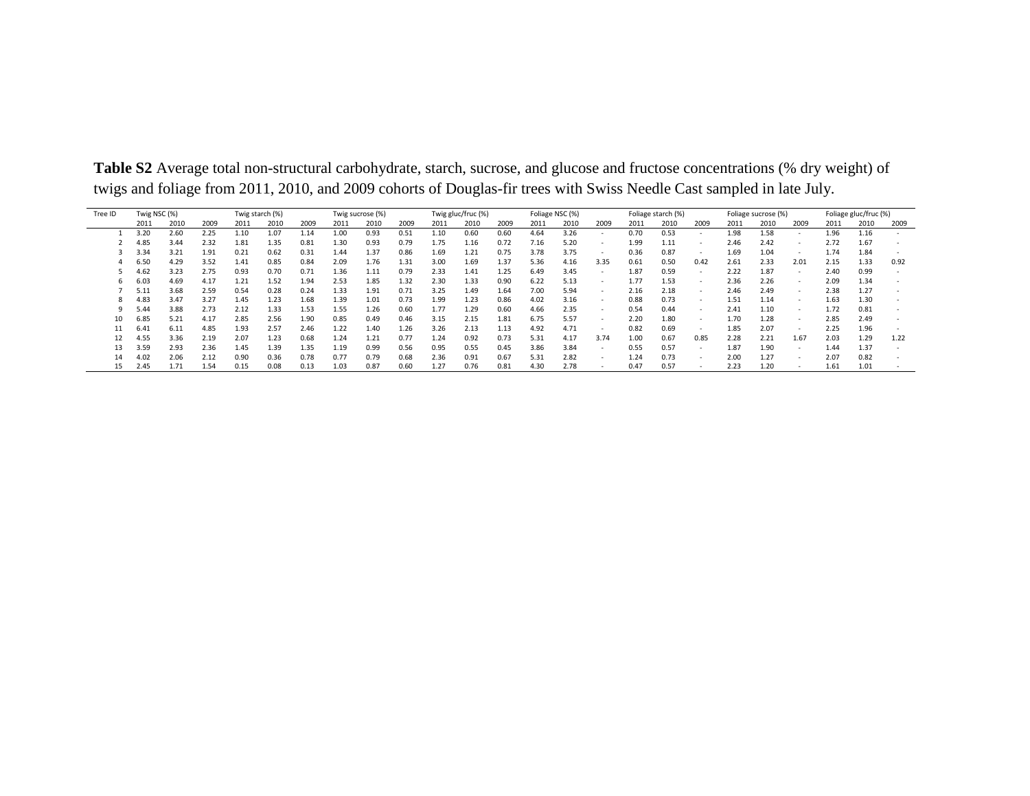| Tree ID | Twig starch (%)<br>Twig NSC (%) |      |      |      |      |      | Twig sucrose (%) |      | Twig gluc/fruc (%) |      |      | Foliage NSC (%) |      |      |        | Foliage starch (%) |      |        | Foliage sucrose (%) |      | Foliage gluc/fruc (%) |      |      |      |
|---------|---------------------------------|------|------|------|------|------|------------------|------|--------------------|------|------|-----------------|------|------|--------|--------------------|------|--------|---------------------|------|-----------------------|------|------|------|
|         | 2011                            | 2010 | 2009 | 2011 | 2010 | 2009 | 2011             | 2010 | 2009               | 2011 | 2010 | 2009            | 2011 | 2010 | 2009   | 2011               | 2010 | 2009   | 2011                | 2010 | 2009                  | 2011 | 2010 | 2009 |
|         | 3.20                            | 2.60 | 2.25 | 1.10 | 1.07 | 1.14 | 1.00             | 0.93 | 0.51               | 1.10 | 0.60 | 0.60            | 4.64 | 3.26 | $\sim$ | 0.70               | 0.53 |        | 1.98                | 1.58 | $\sim$                | 1.96 | 1.16 |      |
|         | 4.85                            | 3.44 | 2.32 | 1.81 | 1.35 | 0.81 | 1.30             | 0.93 | 0.79               | 1.75 | 1.16 | 0.72            | 7.16 | 5.20 | $\sim$ | 1.99               | 1.11 | $\sim$ | 2.46                | 2.42 | $\sim$                | 2.72 | 1.67 |      |
|         | 3.34                            | 3.21 | 1.91 | 0.21 | 0.62 | 0.31 | 1.44             | 1.37 | 0.86               | 1.69 | 1.21 | 0.75            | 3.78 | 3.75 | $\sim$ | 0.36               | 0.87 |        | 1.69                | 1.04 | $\sim$                | 1.74 | 1.84 |      |
|         | 6.50                            | 4.29 | 3.52 | 1.41 | 0.85 | 0.84 | 2.09             | 1.76 | 1.31               | 3.00 | 1.69 | 1.37            | 5.36 | 4.16 | 3.35   | 0.61               | 0.50 | 0.42   | 2.61                | 2.33 | 2.01                  | 2.15 | 1.33 | 0.92 |
|         | 4.62                            | 3.23 | 2.75 | 0.93 | 0.70 | 0.71 | 1.36             | 1.11 | 0.79               | 2.33 | 1.41 | 1.25            | 6.49 | 3.45 | $\sim$ | 1.87               | 0.59 | $\sim$ | 2.22                | 1.87 | $\sim$                | 2.40 | 0.99 |      |
|         | 6.03                            | 4.69 | 4.17 | 1.21 | 1.52 | 1.94 | 2.53             | 1.85 | 1.32               | 2.30 | 1.33 | 0.90            | 6.22 | 5.13 | $\sim$ | 1.77               | 1.53 | . .    | 2.36                | 2.26 | $\sim$                | 2.09 | 1.34 |      |
|         | 5.11                            | 3.68 | 2.59 | 0.54 | 0.28 | 0.24 | 1.33             | 1.91 | 0.71               | 3.25 | 1.49 | 1.64            | 7.00 | 5.94 | $\sim$ | 2.16               | 2.18 | $\sim$ | 2.46                | 2.49 | $\sim$                | 2.38 | 1.27 |      |
|         | 4.83                            | 3.47 | 3.27 | 1.45 | 1.23 | 1.68 | 1.39             | 1.01 | 0.73               | 1.99 | 1.23 | 0.86            | 4.02 | 3.16 | - 1    | 0.88               | 0.73 |        | 1.51                | 1.14 | $\sim$                | 1.63 | 1.30 |      |
|         | 5.44                            | 3.88 | 2.73 | 2.12 | 1.33 | 1.53 | 1.55             | 1.26 | 0.60               | 1.77 | 1.29 | 0.60            | 4.66 | 2.35 | $\sim$ | 0.54               | 0.44 | $\sim$ | 2.41                | 1.10 | $\sim$                | 1.72 | 0.81 |      |
| 10      | 6.85                            | 5.21 | 4.17 | 2.85 | 2.56 | 1.90 | 0.85             | 0.49 | 0.46               | 3.15 | 2.15 | 1.81            | 6.75 | 5.57 | $\sim$ | 2.20               | 1.80 |        | 1.70                | 1.28 | $\sim$                | 2.85 | 2.49 |      |
|         | 6.41                            | 6.11 | 4.85 | 1.93 | 2.57 | 2.46 | 1.22             | 1.40 | 1.26               | 3.26 | 2.13 | 1.13            | 4.92 | 4.71 | - 1    | 0.82               | 0.69 |        | 1.85                | 2.07 | $\sim$                | 2.25 | 1.96 |      |
|         | 4.55                            | 3.36 | 2.19 | 2.07 | 1.23 | 0.68 | 1.24             | 1.21 | 0.77               | 1.24 | 0.92 | 0.73            | 5.31 | 4.17 | 3.74   | 1.00               | 0.67 | 0.85   | 2.28                | 2.21 | 1.67                  | 2.03 | 1.29 | 1.22 |
| 13      | 3.59                            | 2.93 | 2.36 | 1.45 | 1.39 | 1.35 | 1.19             | 0.99 | 0.56               | 0.95 | 0.55 | 0.45            | 3.86 | 3.84 | $\sim$ | 0.55               | 0.57 | $\sim$ | 1.87                | 1.90 | $\sim$                | 1.44 | 1.37 |      |
| 14      | 4.02                            | 2.06 | 2.12 | 0.90 | 0.36 | 0.78 | 0.77             | 0.79 | 0.68               | 2.36 | 0.91 | 0.67            | 5.31 | 2.82 | $\sim$ | 1.24               | 0.73 | $\sim$ | 2.00                | 1.27 | $\sim$                | 2.07 | 0.82 |      |
| 15      | 2.45                            | 1.71 | 1.54 | 0.15 | 0.08 | 0.13 | 1.03             | 0.87 | 0.60               | 1.27 | 0.76 | 0.81            | 4.30 | 2.78 |        | 0.47               | 0.57 |        | 2.23                | 1.20 |                       | 1.61 | 1.01 |      |

**Table S2** Average total non-structural carbohydrate, starch, sucrose, and glucose and fructose concentrations (% dry weight) of twigs and foliage from 2011, 2010, and 2009 cohorts of Douglas-fir trees with Swiss Needle Cast sampled in late July.